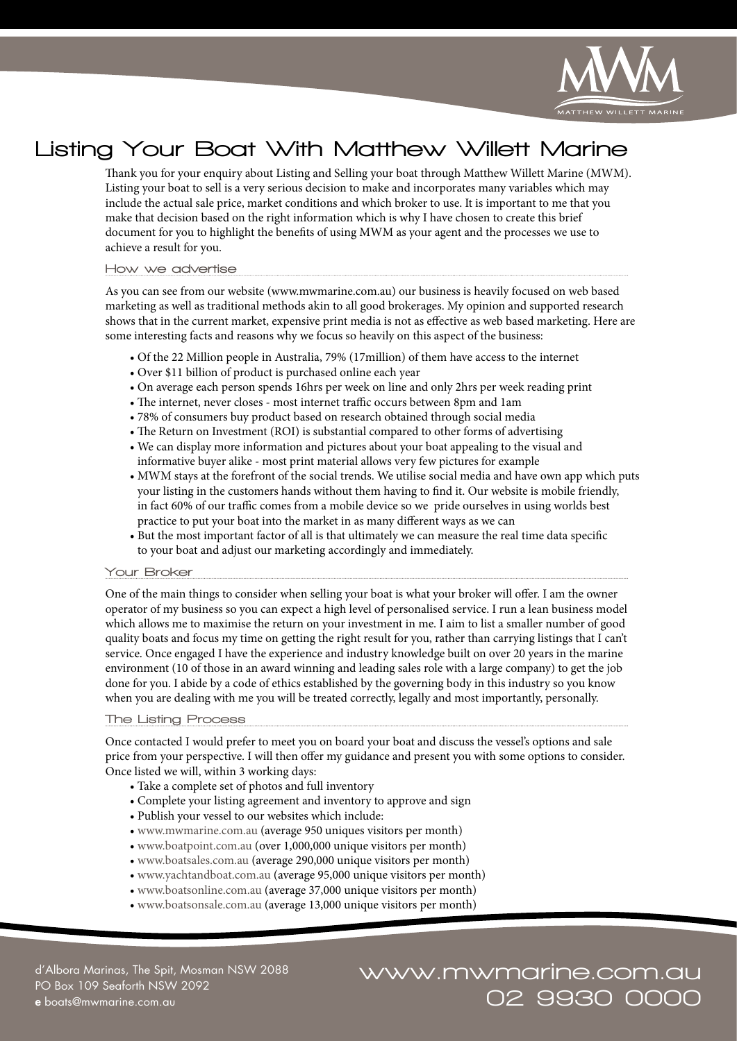

# Listing Your Boat With Matthew Willett Marine

Thank you for your enquiry about Listing and Selling your boat through Matthew Willett Marine (MWM). Listing your boat to sell is a very serious decision to make and incorporates many variables which may include the actual sale price, market conditions and which broker to use. It is important to me that you make that decision based on the right information which is why I have chosen to create this brief document for you to highlight the benefits of using MWM as your agent and the processes we use to achieve a result for you.

#### How we advertise

As you can see from our website (www.mwmarine.com.au) our business is heavily focused on web based marketing as well as traditional methods akin to all good brokerages. My opinion and supported research shows that in the current market, expensive print media is not as effective as web based marketing. Here are some interesting facts and reasons why we focus so heavily on this aspect of the business:

- Of the 22 Million people in Australia, 79% (17million) of them have access to the internet
- Over \$11 billion of product is purchased online each year
- On average each person spends 16hrs per week on line and only 2hrs per week reading print
- The internet, never closes most internet traffic occurs between 8pm and 1am
- 78% of consumers buy product based on research obtained through social media
- The Return on Investment (ROI) is substantial compared to other forms of advertising
- We can display more information and pictures about your boat appealing to the visual and informative buyer alike - most print material allows very few pictures for example
- MWM stays at the forefront of the social trends. We utilise social media and have own app which puts your listing in the customers hands without them having to find it. Our website is mobile friendly, in fact 60% of our traffic comes from a mobile device so we pride ourselves in using worlds best practice to put your boat into the market in as many different ways as we can
- But the most important factor of all is that ultimately we can measure the real time data specific to your boat and adjust our marketing accordingly and immediately.

## Your Broker

One of the main things to consider when selling your boat is what your broker will offer. I am the owner operator of my business so you can expect a high level of personalised service. I run a lean business model which allows me to maximise the return on your investment in me. I aim to list a smaller number of good quality boats and focus my time on getting the right result for you, rather than carrying listings that I can't service. Once engaged I have the experience and industry knowledge built on over 20 years in the marine environment (10 of those in an award winning and leading sales role with a large company) to get the job done for you. I abide by a code of ethics established by the governing body in this industry so you know when you are dealing with me you will be treated correctly, legally and most importantly, personally.

## The Listing Process

Once contacted I would prefer to meet you on board your boat and discuss the vessel's options and sale price from your perspective. I will then offer my guidance and present you with some options to consider. Once listed we will, within 3 working days:

- Take a complete set of photos and full inventory
- Complete your listing agreement and inventory to approve and sign
- Publish your vessel to our websites which include:
- www.mwmarine.com.au (average 950 uniques visitors per month)
- www.boatpoint.com.au (over 1,000,000 unique visitors per month)
- www.boatsales.com.au (average 290,000 unique visitors per month)
- www.yachtandboat.com.au (average 95,000 unique visitors per month)
- www.boatsonline.com.au (average 37,000 unique visitors per month)
- www.boatsonsale.com.au (average 13,000 unique visitors per month)